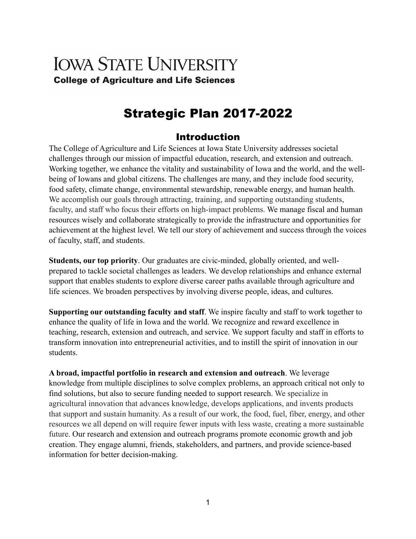# **IOWA STATE UNIVERSITY College of Agriculture and Life Sciences**

# Strategic Plan 2017-2022

## Introduction

The College of Agriculture and Life Sciences at Iowa State University addresses societal challenges through our mission of impactful education, research, and extension and outreach. Working together, we enhance the vitality and sustainability of Iowa and the world, and the wellbeing of Iowans and global citizens. The challenges are many, and they include food security, food safety, climate change, environmental stewardship, renewable energy, and human health. We accomplish our goals through attracting, training, and supporting outstanding students, faculty, and staff who focus their efforts on high-impact problems. We manage fiscal and human resources wisely and collaborate strategically to provide the infrastructure and opportunities for achievement at the highest level. We tell our story of achievement and success through the voices of faculty, staff, and students.

**Students, our top priority**. Our graduates are civic-minded, globally oriented, and wellprepared to tackle societal challenges as leaders. We develop relationships and enhance external support that enables students to explore diverse career paths available through agriculture and life sciences. We broaden perspectives by involving diverse people, ideas, and cultures.

**Supporting our outstanding faculty and staff**. We inspire faculty and staff to work together to enhance the quality of life in Iowa and the world. We recognize and reward excellence in teaching, research, extension and outreach, and service. We support faculty and staff in efforts to transform innovation into entrepreneurial activities, and to instill the spirit of innovation in our students.

**A broad, impactful portfolio in research and extension and outreach**. We leverage knowledge from multiple disciplines to solve complex problems, an approach critical not only to find solutions, but also to secure funding needed to support research. We specialize in agricultural innovation that advances knowledge, develops applications, and invents products that support and sustain humanity. As a result of our work, the food, fuel, fiber, energy, and other resources we all depend on will require fewer inputs with less waste, creating a more sustainable future. Our research and extension and outreach programs promote economic growth and job creation. They engage alumni, friends, stakeholders, and partners, and provide science-based information for better decision-making.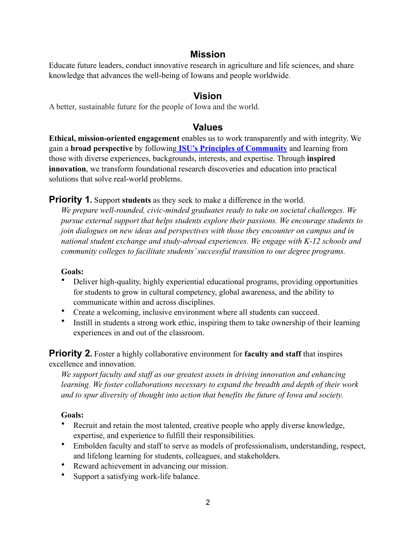## **Mission**

Educate future leaders, conduct innovative research in agriculture and life sciences, and share knowledge that advances the well-being of Iowans and people worldwide.

## **Vision**

A better, sustainable future for the people of Iowa and the world.

## **Values**

**Ethical, mission-oriented engagement** enables us to work transparently and with integrity. We gain a **broad perspective** by following **[ISU's Principles of Community](https://www.diversity.iastate.edu/connect/principles-of-community)** and learning from those with diverse experiences, backgrounds, interests, and expertise. Through **inspired innovation**, we transform foundational research discoveries and education into practical solutions that solve real-world problems.

#### **Priority 1.** Support **students** as they seek to make a difference in the world.

*We prepare well-rounded, civic-minded graduates ready to take on societal challenges. We pursue external support that helps students explore their passions. We encourage students to join dialogues on new ideas and perspectives with those they encounter on campus and in national student exchange and study-abroad experiences. We engage with K-12 schools and community colleges to facilitate students' successful transition to our degree programs.* 

#### **Goals:**

- Deliver high-quality, highly experiential educational programs, providing opportunities for students to grow in cultural competency, global awareness, and the ability to communicate within and across disciplines.
- Create a welcoming, inclusive environment where all students can succeed.
- Instill in students a strong work ethic, inspiring them to take ownership of their learning experiences in and out of the classroom.

**Priority 2.** Foster a highly collaborative environment for **faculty and staff** that inspires excellence and innovation.

*We support faculty and staff as our greatest assets in driving innovation and enhancing learning. We foster collaborations necessary to expand the breadth and depth of their work and to spur diversity of thought into action that benefits the future of Iowa and society.* 

#### **Goals:**

- Recruit and retain the most talented, creative people who apply diverse knowledge, expertise, and experience to fulfill their responsibilities.
- Embolden faculty and staff to serve as models of professionalism, understanding, respect, and lifelong learning for students, colleagues, and stakeholders.
- Reward achievement in advancing our mission.
- Support a satisfying work-life balance.